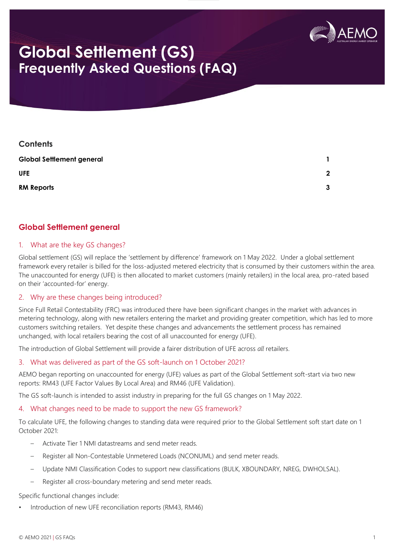

# **Global Settlement (GS) Frequently Asked Questions (FAQ)**

| <b>Contents</b>                  |             |
|----------------------------------|-------------|
| <b>Global Settlement general</b> |             |
| <b>UFE</b>                       | $\mathbf 2$ |
| <b>RM Reports</b>                | 3           |

# **Global Settlement general**

### 1. What are the key GS changes?

Global settlement (GS) will replace the 'settlement by difference' framework on 1 May 2022. Under a global settlement framework every retailer is billed for the loss-adjusted metered electricity that is consumed by their customers within the area. The unaccounted for energy (UFE) is then allocated to market customers (mainly retailers) in the local area, pro-rated based on their 'accounted-for' energy.

#### 2. Why are these changes being introduced?

Since Full Retail Contestability (FRC) was introduced there have been significant changes in the market with advances in metering technology, along with new retailers entering the market and providing greater competition, which has led to more customers switching retailers. Yet despite these changes and advancements the settlement process has remained unchanged, with local retailers bearing the cost of all unaccounted for energy (UFE).

The introduction of Global Settlement will provide a fairer distribution of UFE across *all* retailers.

#### 3. What was delivered as part of the GS soft-launch on 1 October 2021?

AEMO began reporting on unaccounted for energy (UFE) values as part of the Global Settlement soft-start via two new reports: RM43 (UFE Factor Values By Local Area) and RM46 (UFE Validation).

The GS soft-launch is intended to assist industry in preparing for the full GS changes on 1 May 2022.

# 4. What changes need to be made to support the new GS framework?

To calculate UFE, the following changes to standing data were required prior to the Global Settlement soft start date on 1 October 2021:

- Activate Tier 1 NMI datastreams and send meter reads.
- Register all Non-Contestable Unmetered Loads (NCONUML) and send meter reads.
- Update NMI Classification Codes to support new classifications (BULK, XBOUNDARY, NREG, DWHOLSAL).
- Register all cross-boundary metering and send meter reads.

# Specific functional changes include:

• Introduction of new UFE reconciliation reports (RM43, RM46)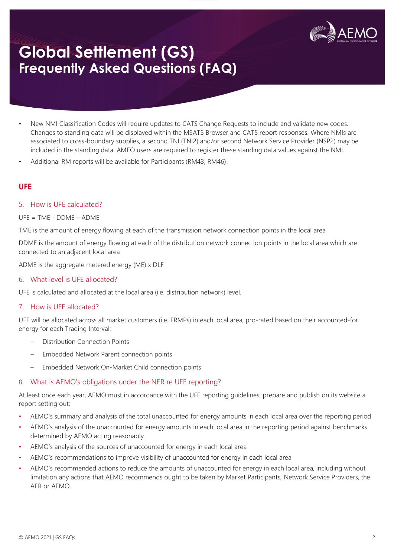

# **Global Settlement (GS) Frequently Asked Questions (FAQ)**

- New NMI Classification Codes will require updates to CATS Change Requests to include and validate new codes. Changes to standing data will be displayed within the MSATS Browser and CATS report responses. Where NMIs are associated to cross-boundary supplies, a second TNI (TNI2) and/or second Network Service Provider (NSP2) may be included in the standing data. AMEO users are required to register these standing data values against the NMI.
- Additional RM reports will be available for Participants (RM43, RM46).

# **UFE**

#### 5. How is UFE calculated?

UFE = TME - DDME – ADME

TME is the amount of energy flowing at each of the transmission network connection points in the local area

DDME is the amount of energy flowing at each of the distribution network connection points in the local area which are connected to an adjacent local area

ADME is the aggregate metered energy (ME) x DLF

### 6. What level is UFE allocated?

UFE is calculated and allocated at the local area (i.e. distribution network) level.

#### 7. How is UFE allocated?

UFE will be allocated across all market customers (i.e. FRMPs) in each local area, pro-rated based on their accounted-for energy for each Trading Interval:

- Distribution Connection Points
- Embedded Network Parent connection points
- Embedded Network On-Market Child connection points

#### 8. What is AEMO's obligations under the NER re UFE reporting?

At least once each year, AEMO must in accordance with the UFE reporting guidelines, prepare and publish on its website a report setting out:

- AEMO's summary and analysis of the total unaccounted for energy amounts in each local area over the reporting period
- AEMO's analysis of the unaccounted for energy amounts in each local area in the reporting period against benchmarks determined by AEMO acting reasonably
- AEMO's analysis of the sources of unaccounted for energy in each local area
- AEMO's recommendations to improve visibility of unaccounted for energy in each local area
- AEMO's recommended actions to reduce the amounts of unaccounted for energy in each local area, including without limitation any actions that AEMO recommends ought to be taken by Market Participants, Network Service Providers, the AER or AEMO.